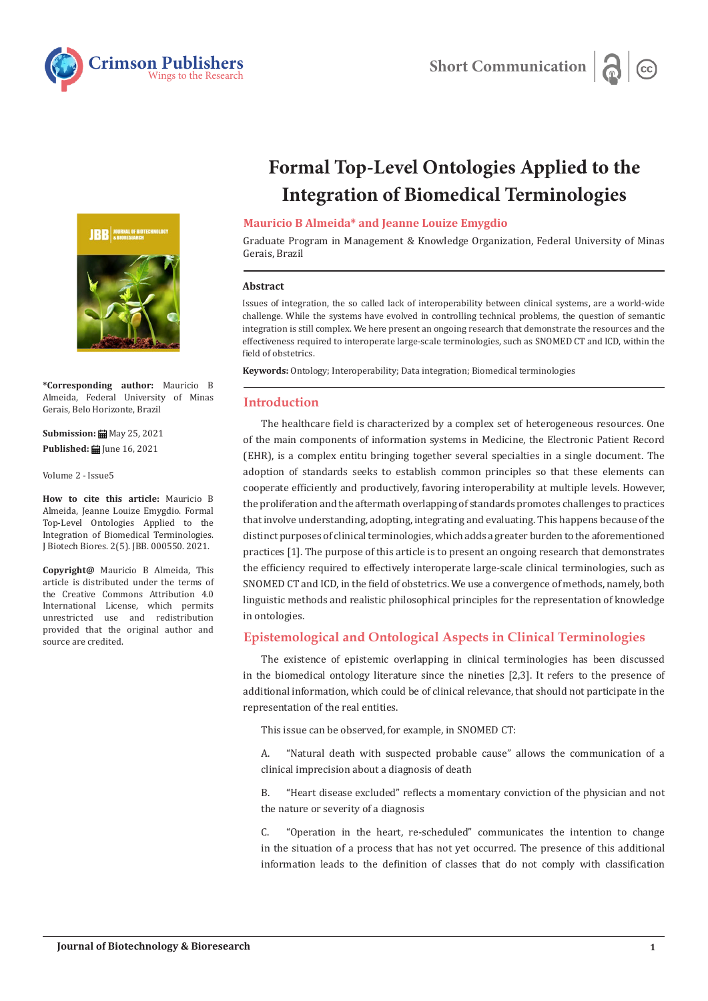



**\*Corresponding author:** Mauricio B Almeida, Federal University of Minas Gerais, Belo Horizonte, Brazil

**Submission: 曲** May 25, 2021 **Published:** June 16, 2021

Volume 2 - Issue5

**How to cite this article:** Mauricio B Almeida, Jeanne Louize Emygdio. Formal Top-Level Ontologies Applied to the Integration of Biomedical Terminologies. J Biotech Biores. 2(5). JBB. 000550. 2021.

**Copyright@** Mauricio B Almeida, This article is distributed under the terms of the Creative Commons Attribution 4.0 International License, which permits unrestricted use and redistribution provided that the original author and source are credited.

# **Formal Top-Level Ontologies Applied to the Integration of Biomedical Terminologies**

# **Mauricio B Almeida\* and Jeanne Louize Emygdio**

Graduate Program in Management & Knowledge Organization, Federal University of Minas Gerais, Brazil

#### **Abstract**

Issues of integration, the so called lack of interoperability between clinical systems, are a world-wide challenge. While the systems have evolved in controlling technical problems, the question of semantic integration is still complex. We here present an ongoing research that demonstrate the resources and the effectiveness required to interoperate large-scale terminologies, such as SNOMED CT and ICD, within the field of obstetrics.

**Keywords:** Ontology; Interoperability; Data integration; Biomedical terminologies

# **Introduction**

The healthcare field is characterized by a complex set of heterogeneous resources. One of the main components of information systems in Medicine, the Electronic Patient Record (EHR), is a complex entitu bringing together several specialties in a single document. The adoption of standards seeks to establish common principles so that these elements can cooperate efficiently and productively, favoring interoperability at multiple levels. However, the proliferation and the aftermath overlapping of standards promotes challenges to practices that involve understanding, adopting, integrating and evaluating. This happens because of the distinct purposes of clinical terminologies, which adds a greater burden to the aforementioned practices [1]. The purpose of this article is to present an ongoing research that demonstrates the efficiency required to effectively interoperate large-scale clinical terminologies, such as SNOMED CT and ICD, in the field of obstetrics. We use a convergence of methods, namely, both linguistic methods and realistic philosophical principles for the representation of knowledge in ontologies.

# **Epistemological and Ontological Aspects in Clinical Terminologies**

The existence of epistemic overlapping in clinical terminologies has been discussed in the biomedical ontology literature since the nineties [2,3]. It refers to the presence of additional information, which could be of clinical relevance, that should not participate in the representation of the real entities.

This issue can be observed, for example, in SNOMED CT:

A. "Natural death with suspected probable cause" allows the communication of a clinical imprecision about a diagnosis of death

B. "Heart disease excluded" reflects a momentary conviction of the physician and not the nature or severity of a diagnosis

C. "Operation in the heart, re-scheduled" communicates the intention to change in the situation of a process that has not yet occurred. The presence of this additional information leads to the definition of classes that do not comply with classification